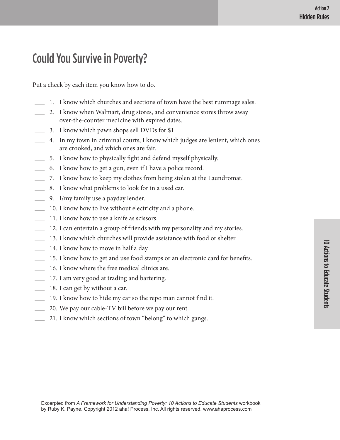### Could You Survive in Poverty?

Put a check by each item you know how to do.

- \_\_\_ 1. I know which churches and sections of town have the best rummage sales.
- $\overline{\phantom{a}}$ 2. I know when Walmart, drug stores, and convenience stores throw away over-the-counter medicine with expired dates.
- \_\_\_ 3. I know which pawn shops sell DVDs for \$1.
- $\overline{\phantom{a}}$ 4. In my town in criminal courts, I know which judges are lenient, which ones are crooked, and which ones are fair.
- $\_\_$  5. I know how to physically fight and defend myself physically.
- $\overline{\phantom{a}}$ 6. I know how to get a gun, even if I have a police record.
- $\overline{\phantom{a}}$ 7. I know how to keep my clothes from being stolen at the Laundromat.
- \_\_\_ 8. I know what problems to look for in a used car.
- $\overline{\phantom{a}}$ 9. I/my family use a payday lender.
- \_\_\_ 10. I know how to live without electricity and a phone.
- \_\_\_ 11. I know how to use a knife as scissors.
- \_\_\_ 12. I can entertain a group of friends with my personality and my stories.
- \_\_\_ 13. I know which churches will provide assistance with food or shelter.
- $\overline{\phantom{a}}$ 14. I know how to move in half a day.
- 15. I know how to get and use food stamps or an electronic card for benefits.
- \_\_\_ 16. I know where the free medical clinics are.
- \_\_\_ 17. I am very good at trading and bartering.
- \_\_\_ 18. I can get by without a car.
- 19. I know how to hide my car so the repo man cannot find it.
- \_\_\_ 20. We pay our cable-TV bill before we pay our rent.
- $\overline{\phantom{a}}$ 21. I know which sections of town "belong" to which gangs.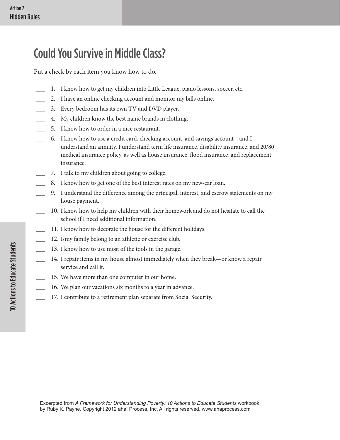## Could You Survive in Middle Class?

Put a check by each item you know how to do.

- $\overline{\phantom{a}}$ 1. I know how to get my children into Little League, piano lessons, soccer, etc.
- $\overline{\phantom{a}}$ 2. I have an online checking account and monitor my bills online.
- $\overline{\phantom{a}}$ 3. Every bedroom has its own TV and DVD player.
- $\overline{\phantom{a}}$ 4. My children know the best name brands in clothing.
- $\overline{\phantom{a}}$ 5. I know how to order in a nice restaurant.
- $\overline{\phantom{a}}$ 6. I know how to use a credit card, checking account, and savings account—and I understand an annuity. I understand term life insurance, disability insurance, and 20/80 medical insurance policy, as well as house insurance, flood insurance, and replacement insurance.
- $\overline{\phantom{a}}$ 7. I talk to my children about going to college.
- $\overline{\phantom{a}}$ 8. I know how to get one of the best interest rates on my new-car loan.
- $\overline{\phantom{a}}$ 9. I understand the difference among the principal, interest, and escrow statements on my house payment.
- $\overline{\phantom{a}}$ 10. I know how to help my children with their homework and do not hesitate to call the school if I need additional information.
- $\overline{\phantom{a}}$ 11. I know how to decorate the house for the different holidays.
- $\overline{\phantom{a}}$ 12. I/my family belong to an athletic or exercise club.
- $\overline{\phantom{a}}$ 13. I know how to use most of the tools in the garage.
- $\overline{\phantom{a}}$ 14. I repair items in my house almost immediately when they break—or know a repair service and call it.
- $\overline{\phantom{a}}$ 15. We have more than one computer in our home.
- $\overline{\phantom{a}}$ 16. We plan our vacations six months to a year in advance.
- $\overline{\phantom{a}}$ 17. I contribute to a retirement plan separate from Social Security.

Excerpted from *A Framework for Understanding Poverty: 10 Actions to Educate Students* workbook by Ruby K. Payne. Copyright 2012 aha! Process, Inc. All rights reserved. www.ahaprocess.com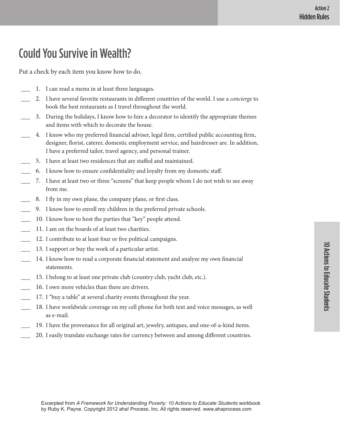# Could You Survive in Wealth?

Put a check by each item you know how to do.

- $\overline{\phantom{a}}$ 1. I can read a menu in at least three languages.
- $\overline{\phantom{a}}$ 2. I have several favorite restaurants in different countries of the world. I use a *concierge* to book the best restaurants as I travel throughout the world.
- $\overline{\phantom{a}}$ 3. During the holidays, I know how to hire a decorator to identify the appropriate themes and items with which to decorate the house.
- $\overline{\phantom{a}}$ 4. I know who my preferred financial adviser, legal firm, certified public accounting firm, designer, florist, caterer, domestic employment service, and hairdresser are. In addition, I have a preferred tailor, travel agency, and personal trainer.
- $\overline{\phantom{a}}$ 5. I have at least two residences that are staffed and maintained.
- $\overline{\phantom{a}}$ 6. I know how to ensure confidentiality and loyalty from my domestic staff.
- $\overline{\phantom{a}}$ 7. I have at least two or three "screens" that keep people whom I do not wish to see away from me.
- $\overline{\phantom{a}}$ 8. I fly in my own plane, the company plane, or first class.
- $\overline{\phantom{a}}$ 9. I know how to enroll my children in the preferred private schools.
- $\overline{\phantom{a}}$ 10. I know how to host the parties that "key" people attend.
- $\overline{\phantom{a}}$ 11. I am on the boards of at least two charities.
- $\overline{\phantom{a}}$ 12. I contribute to at least four or five political campaigns.
- $\overline{\phantom{a}}$ 13. I support or buy the work of a particular artist.
- $\overline{\phantom{a}}$ 14. I know how to read a corporate financial statement and analyze my own financial statements.
- $\overline{\phantom{a}}$ 15. I belong to at least one private club (country club, yacht club, etc.).
- $\overline{\phantom{a}}$ 16. I own more vehicles than there are drivers.
- $\overline{\phantom{a}}$ 17. I "buy a table" at several charity events throughout the year.
- $\overline{\phantom{a}}$ 18. I have worldwide coverage on my cell phone for both text and voice messages, as well as e-mail.
- $\overline{\phantom{a}}$ 19. I have the provenance for all original art, jewelry, antiques, and one-of-a-kind items.
- $\overline{\phantom{a}}$ 20. I easily translate exchange rates for currency between and among different countries.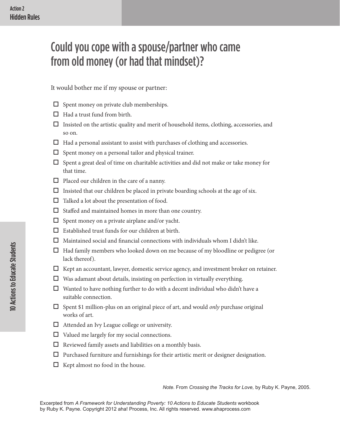## Could you cope with a spouse/partner who came from old money (or had that mindset)?

It would bother me if my spouse or partner:

- $\Box$  Spent money on private club memberships.
- $\Box$  Had a trust fund from birth.
- $\Box$  Insisted on the artistic quality and merit of household items, clothing, accessories, and so on.
- $\Box$  Had a personal assistant to assist with purchases of clothing and accessories.
- $\Box$  Spent money on a personal tailor and physical trainer.
- $\square$  Spent a great deal of time on charitable activities and did not make or take money for that time.
- $\Box$  Placed our children in the care of a nanny.
- $\Box$  Insisted that our children be placed in private boarding schools at the age of six.
- $\Box$  Talked a lot about the presentation of food.
- $\Box$  Staffed and maintained homes in more than one country.
- $\Box$  Spent money on a private airplane and/or yacht.
- $\Box$  Established trust funds for our children at birth.
- $\Box$  Maintained social and financial connections with individuals whom I didn't like.
- $\Box$  Had family members who looked down on me because of my bloodline or pedigree (or lack thereof).
- $\Box$  Kept an accountant, lawyer, domestic service agency, and investment broker on retainer.
- $\Box$  Was adamant about details, insisting on perfection in virtually everything.
- $\Box$  Wanted to have nothing further to do with a decent individual who didn't have a suitable connection.
- $\square$  Spent \$1 million-plus on an original piece of art, and would *only* purchase original works of art.
- Attended an Ivy League college or university.
- $\Box$  Valued me largely for my social connections.
- $\Box$  Reviewed family assets and liabilities on a monthly basis.
- $\Box$  Purchased furniture and furnishings for their artistic merit or designer designation.
- $\Box$  Kept almost no food in the house.

*Note.* From *Crossing the Tracks for Love,* by Ruby K. Payne, 2005.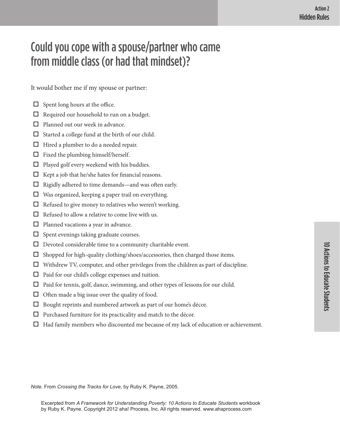#### Action 2 Hidden Rules

#### Could you cope with a spouse/partner who came from middle class (or had that mindset)?

It would bother me if my spouse or partner:

- $\Box$  Spent long hours at the office.
- $\Box$  Required our household to run on a budget.
- $\Box$  Planned out our week in advance.
- $\Box$  Started a college fund at the birth of our child.
- $\Box$  Hired a plumber to do a needed repair.
- $\Box$  Fixed the plumbing himself/herself.
- $\Box$  Played golf every weekend with his buddies.
- $\Box$  Kept a job that he/she hates for financial reasons.
- $\Box$  Rigidly adhered to time demands—and was often early.
- $\Box$  Was organized, keeping a paper trail on everything.
- $\Box$  Refused to give money to relatives who weren't working.
- $\Box$  Refused to allow a relative to come live with us.
- $\Box$  Planned vacations a year in advance.
- $\square$  Spent evenings taking graduate courses.
- $\square$  Devoted considerable time to a community charitable event.
- $\square$  Shopped for high-quality clothing/shoes/accessories, then charged those items.
- $\Box$  Withdrew TV, computer, and other privileges from the children as part of discipline.
- $\Box$  Paid for our child's college expenses and tuition.
- $\Box$  Paid for tennis, golf, dance, swimming, and other types of lessons for our child.
- $\Box$  Often made a big issue over the quality of food.
- $\Box$  Bought reprints and numbered artwork as part of our home's décor.
- $\Box$  Purchased furniture for its practicality and match to the décor.
- $\Box$  Had family members who discounted me because of my lack of education or achievement.